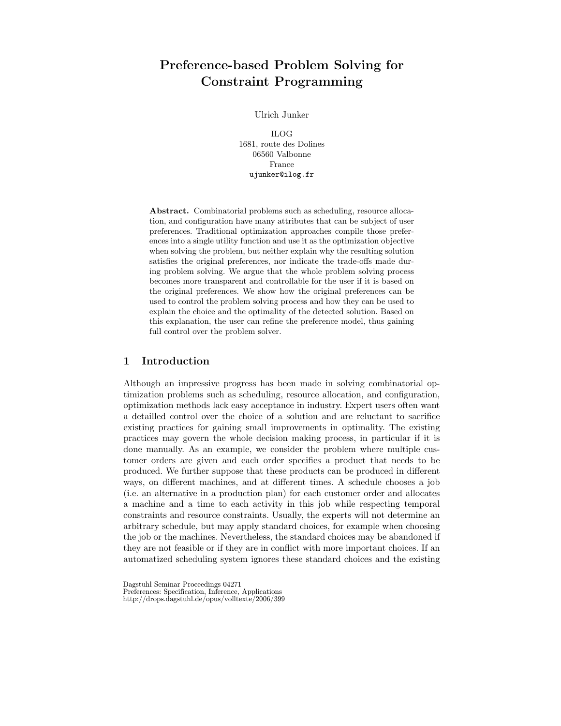# Preference-based Problem Solving for Constraint Programming

Ulrich Junker

ILOG 1681, route des Dolines 06560 Valbonne France ujunker@ilog.fr

Abstract. Combinatorial problems such as scheduling, resource allocation, and configuration have many attributes that can be subject of user preferences. Traditional optimization approaches compile those preferences into a single utility function and use it as the optimization objective when solving the problem, but neither explain why the resulting solution satisfies the original preferences, nor indicate the trade-offs made during problem solving. We argue that the whole problem solving process becomes more transparent and controllable for the user if it is based on the original preferences. We show how the original preferences can be used to control the problem solving process and how they can be used to explain the choice and the optimality of the detected solution. Based on this explanation, the user can refine the preference model, thus gaining full control over the problem solver.

# 1 Introduction

Although an impressive progress has been made in solving combinatorial optimization problems such as scheduling, resource allocation, and configuration, optimization methods lack easy acceptance in industry. Expert users often want a detailled control over the choice of a solution and are reluctant to sacrifice existing practices for gaining small improvements in optimality. The existing practices may govern the whole decision making process, in particular if it is done manually. As an example, we consider the problem where multiple customer orders are given and each order specifies a product that needs to be produced. We further suppose that these products can be produced in different ways, on different machines, and at different times. A schedule chooses a job (i.e. an alternative in a production plan) for each customer order and allocates a machine and a time to each activity in this job while respecting temporal constraints and resource constraints. Usually, the experts will not determine an arbitrary schedule, but may apply standard choices, for example when choosing the job or the machines. Nevertheless, the standard choices may be abandoned if they are not feasible or if they are in conflict with more important choices. If an automatized scheduling system ignores these standard choices and the existing

Dagstuhl Seminar Proceedings 04271 Preferences: Specification, Inference, Applications http://drops.dagstuhl.de/opus/volltexte/2006/399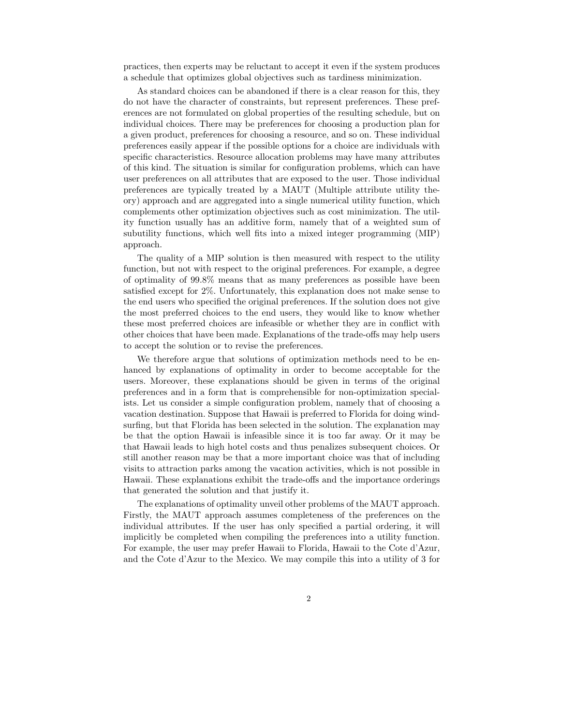practices, then experts may be reluctant to accept it even if the system produces a schedule that optimizes global objectives such as tardiness minimization.

As standard choices can be abandoned if there is a clear reason for this, they do not have the character of constraints, but represent preferences. These preferences are not formulated on global properties of the resulting schedule, but on individual choices. There may be preferences for choosing a production plan for a given product, preferences for choosing a resource, and so on. These individual preferences easily appear if the possible options for a choice are individuals with specific characteristics. Resource allocation problems may have many attributes of this kind. The situation is similar for configuration problems, which can have user preferences on all attributes that are exposed to the user. Those individual preferences are typically treated by a MAUT (Multiple attribute utility theory) approach and are aggregated into a single numerical utility function, which complements other optimization objectives such as cost minimization. The utility function usually has an additive form, namely that of a weighted sum of subutility functions, which well fits into a mixed integer programming (MIP) approach.

The quality of a MIP solution is then measured with respect to the utility function, but not with respect to the original preferences. For example, a degree of optimality of 99.8% means that as many preferences as possible have been satisfied except for 2%. Unfortunately, this explanation does not make sense to the end users who specified the original preferences. If the solution does not give the most preferred choices to the end users, they would like to know whether these most preferred choices are infeasible or whether they are in conflict with other choices that have been made. Explanations of the trade-offs may help users to accept the solution or to revise the preferences.

We therefore argue that solutions of optimization methods need to be enhanced by explanations of optimality in order to become acceptable for the users. Moreover, these explanations should be given in terms of the original preferences and in a form that is comprehensible for non-optimization specialists. Let us consider a simple configuration problem, namely that of choosing a vacation destination. Suppose that Hawaii is preferred to Florida for doing windsurfing, but that Florida has been selected in the solution. The explanation may be that the option Hawaii is infeasible since it is too far away. Or it may be that Hawaii leads to high hotel costs and thus penalizes subsequent choices. Or still another reason may be that a more important choice was that of including visits to attraction parks among the vacation activities, which is not possible in Hawaii. These explanations exhibit the trade-offs and the importance orderings that generated the solution and that justify it.

The explanations of optimality unveil other problems of the MAUT approach. Firstly, the MAUT approach assumes completeness of the preferences on the individual attributes. If the user has only specified a partial ordering, it will implicitly be completed when compiling the preferences into a utility function. For example, the user may prefer Hawaii to Florida, Hawaii to the Cote d'Azur, and the Cote d'Azur to the Mexico. We may compile this into a utility of 3 for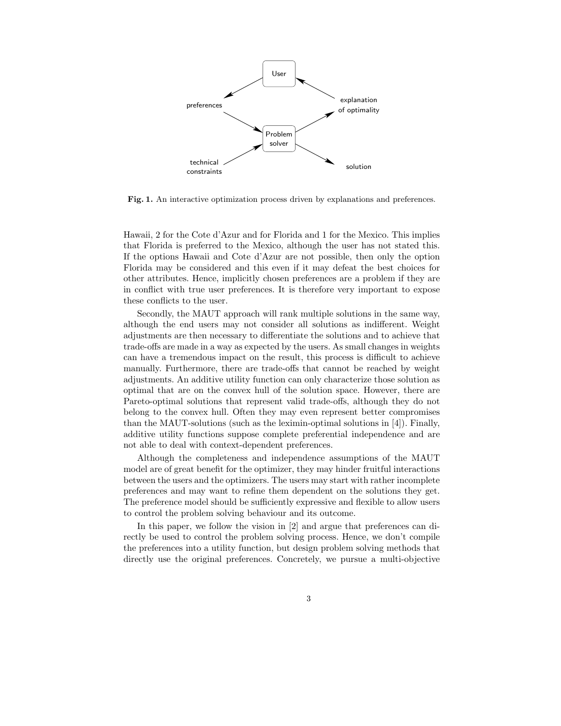

Fig. 1. An interactive optimization process driven by explanations and preferences.

Hawaii, 2 for the Cote d'Azur and for Florida and 1 for the Mexico. This implies that Florida is preferred to the Mexico, although the user has not stated this. If the options Hawaii and Cote d'Azur are not possible, then only the option Florida may be considered and this even if it may defeat the best choices for other attributes. Hence, implicitly chosen preferences are a problem if they are in conflict with true user preferences. It is therefore very important to expose these conflicts to the user.

Secondly, the MAUT approach will rank multiple solutions in the same way, although the end users may not consider all solutions as indifferent. Weight adjustments are then necessary to differentiate the solutions and to achieve that trade-offs are made in a way as expected by the users. As small changes in weights can have a tremendous impact on the result, this process is difficult to achieve manually. Furthermore, there are trade-offs that cannot be reached by weight adjustments. An additive utility function can only characterize those solution as optimal that are on the convex hull of the solution space. However, there are Pareto-optimal solutions that represent valid trade-offs, although they do not belong to the convex hull. Often they may even represent better compromises than the MAUT-solutions (such as the leximin-optimal solutions in [4]). Finally, additive utility functions suppose complete preferential independence and are not able to deal with context-dependent preferences.

Although the completeness and independence assumptions of the MAUT model are of great benefit for the optimizer, they may hinder fruitful interactions between the users and the optimizers. The users may start with rather incomplete preferences and may want to refine them dependent on the solutions they get. The preference model should be sufficiently expressive and flexible to allow users to control the problem solving behaviour and its outcome.

In this paper, we follow the vision in [2] and argue that preferences can directly be used to control the problem solving process. Hence, we don't compile the preferences into a utility function, but design problem solving methods that directly use the original preferences. Concretely, we pursue a multi-objective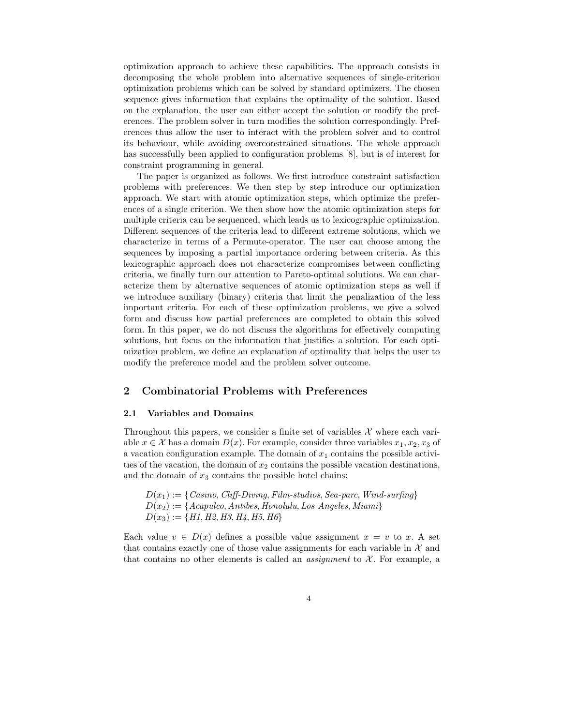optimization approach to achieve these capabilities. The approach consists in decomposing the whole problem into alternative sequences of single-criterion optimization problems which can be solved by standard optimizers. The chosen sequence gives information that explains the optimality of the solution. Based on the explanation, the user can either accept the solution or modify the preferences. The problem solver in turn modifies the solution correspondingly. Preferences thus allow the user to interact with the problem solver and to control its behaviour, while avoiding overconstrained situations. The whole approach has successfully been applied to configuration problems [8], but is of interest for constraint programming in general.

The paper is organized as follows. We first introduce constraint satisfaction problems with preferences. We then step by step introduce our optimization approach. We start with atomic optimization steps, which optimize the preferences of a single criterion. We then show how the atomic optimization steps for multiple criteria can be sequenced, which leads us to lexicographic optimization. Different sequences of the criteria lead to different extreme solutions, which we characterize in terms of a Permute-operator. The user can choose among the sequences by imposing a partial importance ordering between criteria. As this lexicographic approach does not characterize compromises between conflicting criteria, we finally turn our attention to Pareto-optimal solutions. We can characterize them by alternative sequences of atomic optimization steps as well if we introduce auxiliary (binary) criteria that limit the penalization of the less important criteria. For each of these optimization problems, we give a solved form and discuss how partial preferences are completed to obtain this solved form. In this paper, we do not discuss the algorithms for effectively computing solutions, but focus on the information that justifies a solution. For each optimization problem, we define an explanation of optimality that helps the user to modify the preference model and the problem solver outcome.

# 2 Combinatorial Problems with Preferences

# 2.1 Variables and Domains

Throughout this papers, we consider a finite set of variables  $\mathcal X$  where each variable  $x \in \mathcal{X}$  has a domain  $D(x)$ . For example, consider three variables  $x_1, x_2, x_3$  of a vacation configuration example. The domain of  $x_1$  contains the possible activities of the vacation, the domain of  $x_2$  contains the possible vacation destinations, and the domain of  $x_3$  contains the possible hotel chains:

 $D(x_1) := \{ \text{Casino}, \text{Cliff-Diving}, \text{Film-studios}, \text{ Sea-parc}, \text{Wind-surfing} \}$  $D(x_2) := \{Acapulco, Antibes, Honolulu, Los Angeles, Miami\}$  $D(x_3) := \{H1, H2, H3, H4, H5, H6\}$ 

Each value  $v \in D(x)$  defines a possible value assignment  $x = v$  to x. A set that contains exactly one of those value assignments for each variable in  $\mathcal X$  and that contains no other elements is called an *assignment* to  $\mathcal{X}$ . For example, a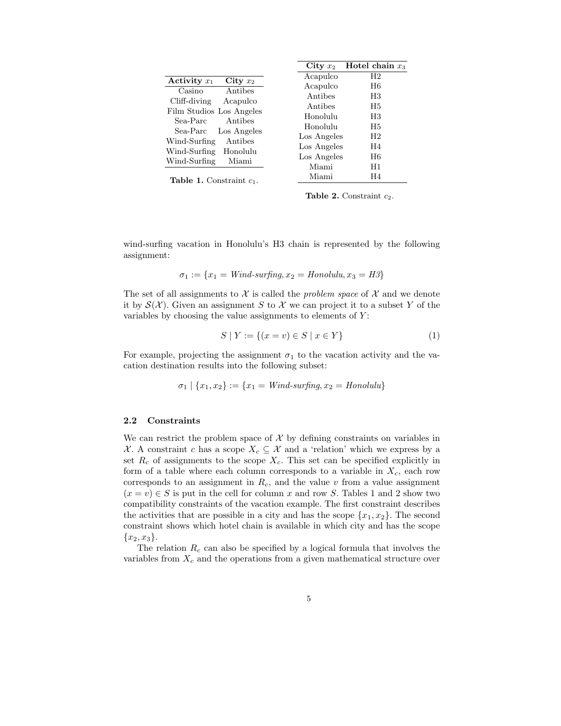|                                      | City $x_2$  | Hotel chain $x_3$ |
|--------------------------------------|-------------|-------------------|
| Activity $x_1$<br>City $x_2$         | Acapulco    | H <sub>2</sub>    |
| Antibes<br>Casino                    | Acapulco    | H6                |
| Cliff-diving                         | Antibes     | H3                |
| Acapulco<br>Film Studios Los Angeles | Antibes     | H5                |
| Antibes<br>Sea-Parc                  | Honolulu    | H3                |
|                                      | Honolulu    | H5                |
| Los Angeles<br>Sea-Parc              | Los Angeles | H <sub>2</sub>    |
| Wind-Surfing<br>Antibes              | Los Angeles | H <sub>4</sub>    |
| Wind-Surfing<br>Honolulu             | Los Angeles | H6                |
| Wind-Surfing<br>Miami                | Miami       | H1                |
| <b>Table 1.</b> Constraint $c_1$ .   | Miami       | H4                |

Table 2. Constraint  $c_2$ .

wind-surfing vacation in Honolulu's H3 chain is represented by the following assignment:

$$
\sigma_1 := \{x_1 = Wind\text{-}surfing, x_2 = Honolulu, x_3 = H3\}
$$

The set of all assignments to  $\mathcal X$  is called the *problem space* of  $\mathcal X$  and we denote it by  $\mathcal{S}(\mathcal{X})$ . Given an assignment S to X we can project it to a subset Y of the variables by choosing the value assignments to elements of  $Y$ :

$$
S \mid Y := \{(x = v) \in S \mid x \in Y\}
$$
\n<sup>(1)</sup>

For example, projecting the assignment  $\sigma_1$  to the vacation activity and the vacation destination results into the following subset:

$$
\sigma_1 \mid \{x_1, x_2\} := \{x_1 = Wind\text{-}surfing, x_2 = Honolulu\}
$$

#### 2.2 Constraints

We can restrict the problem space of  $X$  by defining constraints on variables in X. A constraint c has a scope  $X_c \subseteq \mathcal{X}$  and a 'relation' which we express by a set  $R_c$  of assignments to the scope  $X_c$ . This set can be specified explicitly in form of a table where each column corresponds to a variable in  $X_c$ , each row corresponds to an assignment in  $R_c$ , and the value v from a value assignment  $(x = v) \in S$  is put in the cell for column x and row S. Tables 1 and 2 show two compatibility constraints of the vacation example. The first constraint describes the activities that are possible in a city and has the scope  $\{x_1, x_2\}$ . The second constraint shows which hotel chain is available in which city and has the scope  ${x_2, x_3}.$ 

The relation  $R_c$  can also be specified by a logical formula that involves the variables from  $X_c$  and the operations from a given mathematical structure over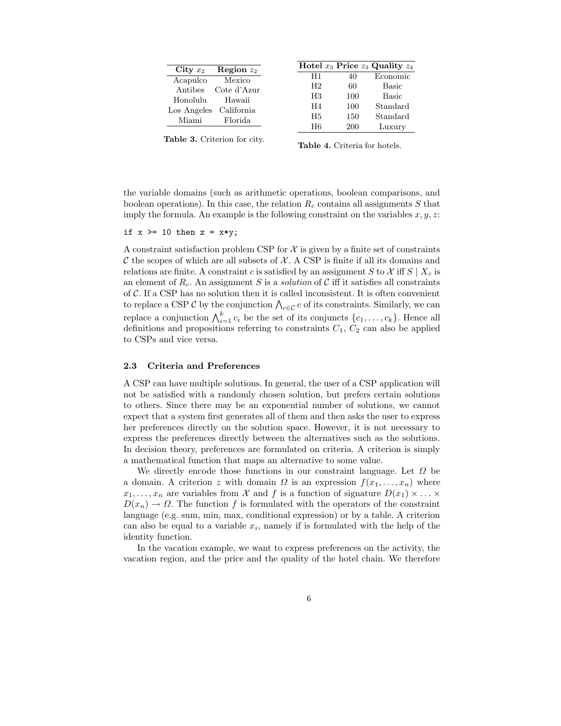| City $x_2$  | Region $z_2$ |
|-------------|--------------|
| Acapulco    | Mexico       |
| Antibes     | Cote d'Azur  |
| Honolulu    | Hawaii       |
| Los Angeles | California   |
| Miami       | Florida      |
|             |              |

| H1<br>Economic<br>40<br>H <sub>2</sub><br>60<br>Basic<br>100<br>$_{\rm H3}$<br>Basic |  | Hotel $x_3$ Price $z_3$ Quality $z_4$ |
|--------------------------------------------------------------------------------------|--|---------------------------------------|
|                                                                                      |  |                                       |
|                                                                                      |  |                                       |
|                                                                                      |  |                                       |
| 100<br>H <sub>4</sub><br>Standard                                                    |  |                                       |
| H <sub>5</sub><br>150<br>Standard                                                    |  |                                       |
| H6<br>200<br>Luxury                                                                  |  |                                       |

Table 3. Criterion for city.

Table 4. Criteria for hotels.

the variable domains (such as arithmetic operations, boolean comparisons, and boolean operations). In this case, the relation  $R_c$  contains all assignments S that imply the formula. An example is the following constraint on the variables  $x, y, z$ :

if  $x \ge 10$  then  $z = x*y$ ;

A constraint satisfaction problem CSP for  $\mathcal X$  is given by a finite set of constraints  $\mathcal C$  the scopes of which are all subsets of  $\mathcal X$ . A CSP is finite if all its domains and relations are finite. A constraint c is satisfied by an assignment S to X iff  $S \mid X_c$  is an element of  $R_c$ . An assignment S is a solution of C iff it satisfies all constraints of  $\mathcal{C}$ . If a CSP has no solution then it is called inconsistent. It is often convenient to replace a CSP  $\mathcal C$  by the conjunction  $\bigwedge_{c\in\mathcal C}c$  of its constraints. Similarly, we can replace a conjunction  $\bigwedge_{i=1}^{k} c_i$  be the set of its conjuncts  $\{c_1, \ldots, c_k\}$ . Hence all definitions and propositions referring to constraints  $C_1$ ,  $C_2$  can also be applied to CSPs and vice versa.

# 2.3 Criteria and Preferences

A CSP can have multiple solutions. In general, the user of a CSP application will not be satisfied with a randomly chosen solution, but prefers certain solutions to others. Since there may be an exponential number of solutions, we cannot expect that a system first generates all of them and then asks the user to express her preferences directly on the solution space. However, it is not necessary to express the preferences directly between the alternatives such as the solutions. In decision theory, preferences are formulated on criteria. A criterion is simply a mathematical function that maps an alternative to some value.

We directly encode those functions in our constraint language. Let  $\Omega$  be a domain. A criterion z with domain  $\Omega$  is an expression  $f(x_1, \ldots, x_n)$  where  $x_1, \ldots, x_n$  are variables from X and f is a function of signature  $D(x_1) \times \ldots \times$  $D(x_n) \to \Omega$ . The function f is formulated with the operators of the constraint language (e.g. sum, min, max, conditional expression) or by a table. A criterion can also be equal to a variable  $x_i$ , namely if is formulated with the help of the identity function.

In the vacation example, we want to express preferences on the activity, the vacation region, and the price and the quality of the hotel chain. We therefore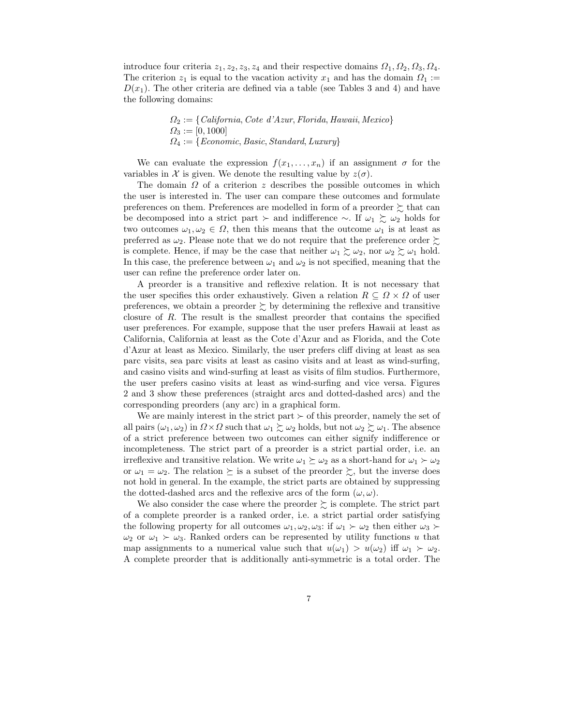introduce four criteria  $z_1, z_2, z_3, z_4$  and their respective domains  $\Omega_1, \Omega_2, \Omega_3, \Omega_4$ . The criterion  $z_1$  is equal to the vacation activity  $x_1$  and has the domain  $\Omega_1 :=$  $D(x_1)$ . The other criteria are defined via a table (see Tables 3 and 4) and have the following domains:

$$
\Omega_2 := \{ California, Cote\ d'Azur, Florida, Hawaii, Mexico\}
$$
  

$$
\Omega_3 := [0, 1000]
$$
  

$$
\Omega_4 := \{Economic, Basic, Standard, Luxury\}
$$

We can evaluate the expression  $f(x_1, \ldots, x_n)$  if an assignment  $\sigma$  for the variables in X is given. We denote the resulting value by  $z(\sigma)$ .

The domain  $\Omega$  of a criterion z describes the possible outcomes in which the user is interested in. The user can compare these outcomes and formulate preferences on them. Preferences are modelled in form of a preorder  $\succeq$  that can be decomposed into a strict part ≻ and indifference ∼. If  $\omega_1 \gtrsim \omega_2$  holds for two outcomes  $\omega_1, \omega_2 \in \Omega$ , then this means that the outcome  $\omega_1$  is at least as preferred as  $\omega_2$ . Please note that we do not require that the preference order  $\succsim$ is complete. Hence, if may be the case that neither  $\omega_1 \gtrsim \omega_2$ , nor  $\omega_2 \gtrsim \omega_1$  hold. In this case, the preference between  $\omega_1$  and  $\omega_2$  is not specified, meaning that the user can refine the preference order later on.

A preorder is a transitive and reflexive relation. It is not necessary that the user specifies this order exhaustively. Given a relation  $R \subseteq \Omega \times \Omega$  of user preferences, we obtain a preorder  $\succeq$  by determining the reflexive and transitive closure of R. The result is the smallest preorder that contains the specified user preferences. For example, suppose that the user prefers Hawaii at least as California, California at least as the Cote d'Azur and as Florida, and the Cote d'Azur at least as Mexico. Similarly, the user prefers cliff diving at least as sea parc visits, sea parc visits at least as casino visits and at least as wind-surfing, and casino visits and wind-surfing at least as visits of film studios. Furthermore, the user prefers casino visits at least as wind-surfing and vice versa. Figures 2 and 3 show these preferences (straight arcs and dotted-dashed arcs) and the corresponding preorders (any arc) in a graphical form.

We are mainly interest in the strict part  $\succ$  of this preorder, namely the set of all pairs  $(\omega_1, \omega_2)$  in  $\Omega \times \Omega$  such that  $\omega_1 \succsim \omega_2$  holds, but not  $\omega_2 \succsim \omega_1$ . The absence of a strict preference between two outcomes can either signify indifference or incompleteness. The strict part of a preorder is a strict partial order, i.e. an irreflexive and transitive relation. We write  $\omega_1 \succeq \omega_2$  as a short-hand for  $\omega_1 \succ \omega_2$ or  $\omega_1 = \omega_2$ . The relation  $\succeq$  is a subset of the preorder  $\succeq$ , but the inverse does not hold in general. In the example, the strict parts are obtained by suppressing the dotted-dashed arcs and the reflexive arcs of the form  $(\omega, \omega)$ .

We also consider the case where the preorder  $\succsim$  is complete. The strict part of a complete preorder is a ranked order, i.e. a strict partial order satisfying the following property for all outcomes  $\omega_1, \omega_2, \omega_3$ : if  $\omega_1 \succ \omega_2$  then either  $\omega_3 \succ$  $\omega_2$  or  $\omega_1 \succ \omega_3$ . Ranked orders can be represented by utility functions u that map assignments to a numerical value such that  $u(\omega_1) > u(\omega_2)$  iff  $\omega_1 \succ \omega_2$ . A complete preorder that is additionally anti-symmetric is a total order. The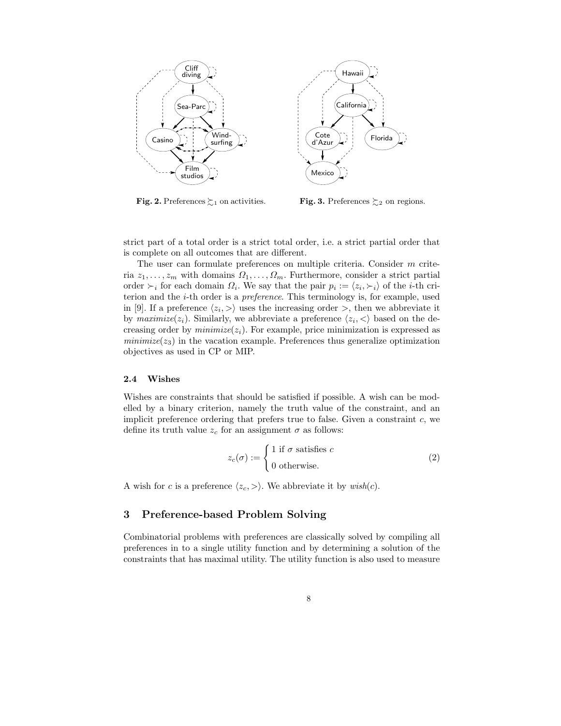

**Fig. 2.** Preferences  $\succsim_1$  on activities.

**Fig. 3.** Preferences  $\succsim_2$  on regions.

strict part of a total order is a strict total order, i.e. a strict partial order that is complete on all outcomes that are different.

The user can formulate preferences on multiple criteria. Consider m criteria  $z_1, \ldots, z_m$  with domains  $\Omega_1, \ldots, \Omega_m$ . Furthermore, consider a strict partial order  $\succ_i$  for each domain  $\Omega_i$ . We say that the pair  $p_i := \langle z_i, \succ_i \rangle$  of the *i*-th criterion and the i-th order is a preference. This terminology is, for example, used in [9]. If a preference  $\langle z_i, \rangle$  uses the increasing order  $\rangle$ , then we abbreviate it by  $\textit{maximize}(z_i)$ . Similarly, we abbreviate a preference  $\langle z_i, \langle \rangle$  based on the decreasing order by  $minimize(z_i)$ . For example, price minimization is expressed as  $minimize(z_3)$  in the vacation example. Preferences thus generalize optimization objectives as used in CP or MIP.

### 2.4 Wishes

Wishes are constraints that should be satisfied if possible. A wish can be modelled by a binary criterion, namely the truth value of the constraint, and an implicit preference ordering that prefers true to false. Given a constraint  $c$ , we define its truth value  $z_c$  for an assignment  $\sigma$  as follows:

$$
z_c(\sigma) := \begin{cases} 1 & \text{if } \sigma \text{ satisfies } c \\ 0 & \text{otherwise.} \end{cases}
$$
 (2)

A wish for c is a preference  $\langle z_c, \rangle$ . We abbreviate it by wish(c).

# 3 Preference-based Problem Solving

Combinatorial problems with preferences are classically solved by compiling all preferences in to a single utility function and by determining a solution of the constraints that has maximal utility. The utility function is also used to measure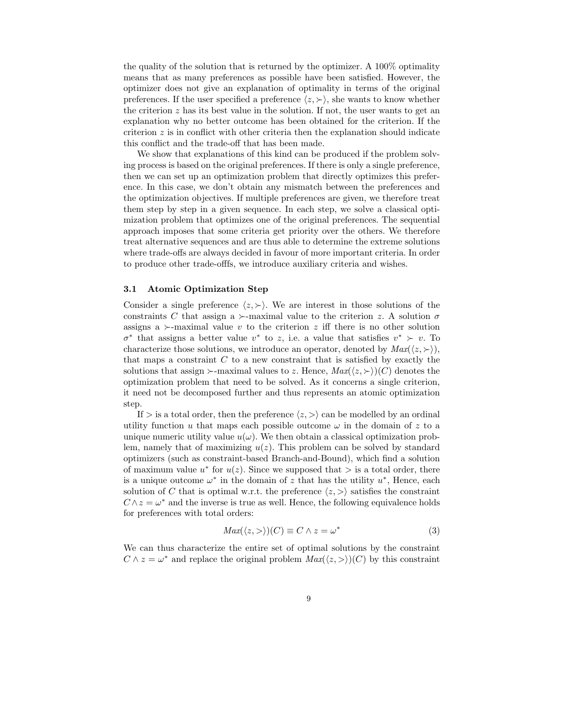the quality of the solution that is returned by the optimizer. A 100% optimality means that as many preferences as possible have been satisfied. However, the optimizer does not give an explanation of optimality in terms of the original preferences. If the user specified a preference  $\langle z, \rangle$ , she wants to know whether the criterion  $z$  has its best value in the solution. If not, the user wants to get an explanation why no better outcome has been obtained for the criterion. If the criterion  $z$  is in conflict with other criteria then the explanation should indicate this conflict and the trade-off that has been made.

We show that explanations of this kind can be produced if the problem solving process is based on the original preferences. If there is only a single preference, then we can set up an optimization problem that directly optimizes this preference. In this case, we don't obtain any mismatch between the preferences and the optimization objectives. If multiple preferences are given, we therefore treat them step by step in a given sequence. In each step, we solve a classical optimization problem that optimizes one of the original preferences. The sequential approach imposes that some criteria get priority over the others. We therefore treat alternative sequences and are thus able to determine the extreme solutions where trade-offs are always decided in favour of more important criteria. In order to produce other trade-offfs, we introduce auxiliary criteria and wishes.

#### 3.1 Atomic Optimization Step

Consider a single preference  $\langle z, \rangle$ . We are interest in those solutions of the constraints C that assign a  $\succ$ -maximal value to the criterion z. A solution  $\sigma$ assigns a  $\succ$ -maximal value v to the criterion z iff there is no other solution  $\sigma^*$  that assigns a better value  $v^*$  to z, i.e. a value that satisfies  $v^* \succ v$ . To characterize those solutions, we introduce an operator, denoted by  $Max(\langle z, \rangle)$ , that maps a constraint  $C$  to a new constraint that is satisfied by exactly the solutions that assign  $\rightarrow$ -maximal values to z. Hence,  $Max(\langle z, \rangle)(C)$  denotes the optimization problem that need to be solved. As it concerns a single criterion, it need not be decomposed further and thus represents an atomic optimization step.

If  $\geq$  is a total order, then the preference  $\langle z, \rangle$  can be modelled by an ordinal utility function u that maps each possible outcome  $\omega$  in the domain of z to a unique numeric utility value  $u(\omega)$ . We then obtain a classical optimization problem, namely that of maximizing  $u(z)$ . This problem can be solved by standard optimizers (such as constraint-based Branch-and-Bound), which find a solution of maximum value  $u^*$  for  $u(z)$ . Since we supposed that  $>$  is a total order, there is a unique outcome  $\omega^*$  in the domain of z that has the utility  $u^*$ , Hence, each solution of C that is optimal w.r.t. the preference  $\langle z, \rangle$  satisfies the constraint  $C \wedge z = \omega^*$  and the inverse is true as well. Hence, the following equivalence holds for preferences with total orders:

$$
Max(\langle z, \rangle)(C) \equiv C \wedge z = \omega^*
$$
\n(3)

We can thus characterize the entire set of optimal solutions by the constraint  $C \wedge z = \omega^*$  and replace the original problem  $Max(\langle z, \rangle)(C)$  by this constraint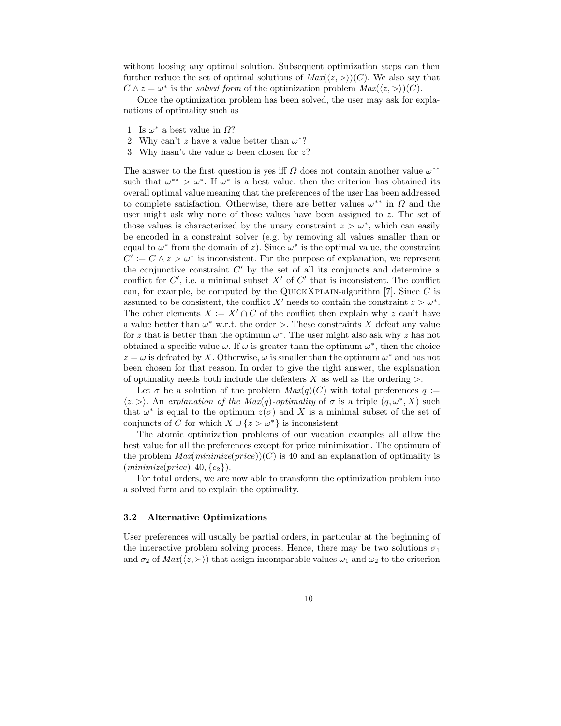without loosing any optimal solution. Subsequent optimization steps can then further reduce the set of optimal solutions of  $Max(\langle z, \rangle)(C)$ . We also say that  $C \wedge z = \omega^*$  is the *solved form* of the optimization problem  $Max(\langle z, \rangle)(C)$ .

Once the optimization problem has been solved, the user may ask for explanations of optimality such as

- 1. Is  $\omega^*$  a best value in  $\Omega$ ?
- 2. Why can't z have a value better than  $\omega^*$ ?
- 3. Why hasn't the value  $\omega$  been chosen for z?

The answer to the first question is yes iff  $\Omega$  does not contain another value  $\omega^{**}$ such that  $\omega^{**} > \omega^*$ . If  $\omega^*$  is a best value, then the criterion has obtained its overall optimal value meaning that the preferences of the user has been addressed to complete satisfaction. Otherwise, there are better values  $\omega^{**}$  in  $\Omega$  and the user might ask why none of those values have been assigned to z. The set of those values is characterized by the unary constraint  $z > \omega^*$ , which can easily be encoded in a constraint solver (e.g. by removing all values smaller than or equal to  $\omega^*$  from the domain of z). Since  $\omega^*$  is the optimal value, the constraint  $C' := C \wedge z > \omega^*$  is inconsistent. For the purpose of explanation, we represent the conjunctive constraint  $C'$  by the set of all its conjuncts and determine a conflict for  $C'$ , i.e. a minimal subset  $X'$  of  $C'$  that is inconsistent. The conflict can, for example, be computed by the QUICKXPLAIN-algorithm  $[7]$ . Since C is assumed to be consistent, the conflict X' needs to contain the constraint  $z > \omega^*$ . The other elements  $X := X' \cap C$  of the conflict then explain why z can't have a value better than  $\omega^*$  w.r.t. the order >. These constraints X defeat any value for z that is better than the optimum  $\omega^*$ . The user might also ask why z has not obtained a specific value  $\omega$ . If  $\omega$  is greater than the optimum  $\omega^*$ , then the choice  $z = \omega$  is defeated by X. Otherwise,  $\omega$  is smaller than the optimum  $\omega^*$  and has not been chosen for that reason. In order to give the right answer, the explanation of optimality needs both include the defeaters  $X$  as well as the ordering  $\geq$ .

Let  $\sigma$  be a solution of the problem  $Max(q)(C)$  with total preferences  $q :=$  $\langle z, \rangle$ . An explanation of the Max(q)-optimality of  $\sigma$  is a triple  $(q, \omega^*, X)$  such that  $\omega^*$  is equal to the optimum  $z(\sigma)$  and X is a minimal subset of the set of conjuncts of C for which  $X \cup \{z > \omega^*\}$  is inconsistent.

The atomic optimization problems of our vacation examples all allow the best value for all the preferences except for price minimization. The optimum of the problem  $Max(minimize(price))(C)$  is 40 and an explanation of optimality is  $(minimize(price), 40, {c_2}).$ 

For total orders, we are now able to transform the optimization problem into a solved form and to explain the optimality.

#### 3.2 Alternative Optimizations

User preferences will usually be partial orders, in particular at the beginning of the interactive problem solving process. Hence, there may be two solutions  $\sigma_1$ and  $\sigma_2$  of  $Max(\langle z, \rangle)$  that assign incomparable values  $\omega_1$  and  $\omega_2$  to the criterion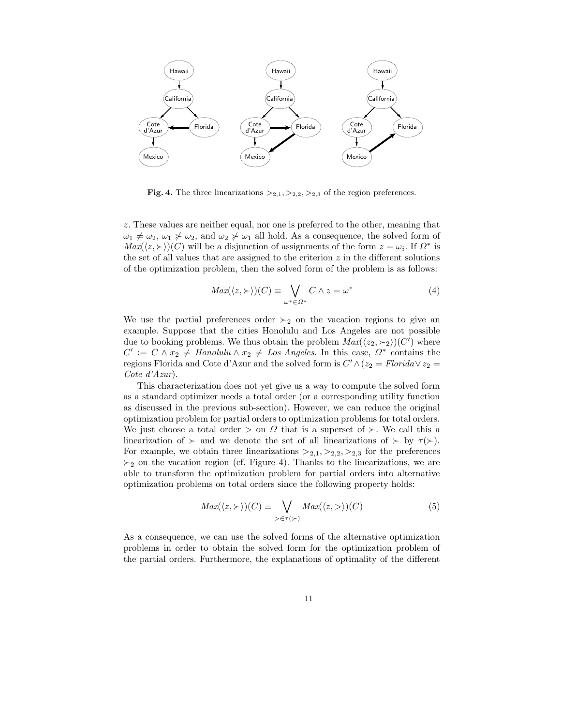

**Fig. 4.** The three linearizations  $>_{2,1}, >_{2,2}, >_{2,3}$  of the region preferences.

z. These values are neither equal, nor one is preferred to the other, meaning that  $\omega_1 \neq \omega_2$ ,  $\omega_1 \neq \omega_2$ , and  $\omega_2 \neq \omega_1$  all hold. As a consequence, the solved form of  $Max(\langle z, \rangle)(C)$  will be a disjunction of assignments of the form  $z = \omega_i$ . If  $\Omega^*$  is the set of all values that are assigned to the criterion  $z$  in the different solutions of the optimization problem, then the solved form of the problem is as follows:

$$
Max(\langle z, \rangle)(C) \equiv \bigvee_{\omega^* \in \Omega^*} C \wedge z = \omega^* \tag{4}
$$

We use the partial preferences order  $\succ_2$  on the vacation regions to give an example. Suppose that the cities Honolulu and Los Angeles are not possible due to booking problems. We thus obtain the problem  $Max(\langle z_2, \succ_2 \rangle)(C')$  where  $C' := C \wedge x_2 \neq \text{Hon}$ olulu  $\wedge x_2 \neq \text{Los}$  Angeles. In this case,  $\Omega^*$  contains the regions Florida and Cote d'Azur and the solved form is  $C' \wedge (z_2 = Florida \vee z_2 =$ Cote d'Azur).

This characterization does not yet give us a way to compute the solved form as a standard optimizer needs a total order (or a corresponding utility function as discussed in the previous sub-section). However, we can reduce the original optimization problem for partial orders to optimization problems for total orders. We just choose a total order  $>$  on  $\Omega$  that is a superset of  $\succ$ . We call this a linearization of  $\succ$  and we denote the set of all linearizations of  $\succ$  by  $\tau(\succ)$ . For example, we obtain three linearizations  $>_{2,1},>_{2,2},>_{2,3}$  for the preferences  $\succ_2$  on the vacation region (cf. Figure 4). Thanks to the linearizations, we are able to transform the optimization problem for partial orders into alternative optimization problems on total orders since the following property holds:

$$
Max(\langle z, \rangle)(C) \equiv \bigvee_{\geq \in \tau(\rangle)} Max(\langle z, \rangle)(C)
$$
 (5)

As a consequence, we can use the solved forms of the alternative optimization problems in order to obtain the solved form for the optimization problem of the partial orders. Furthermore, the explanations of optimality of the different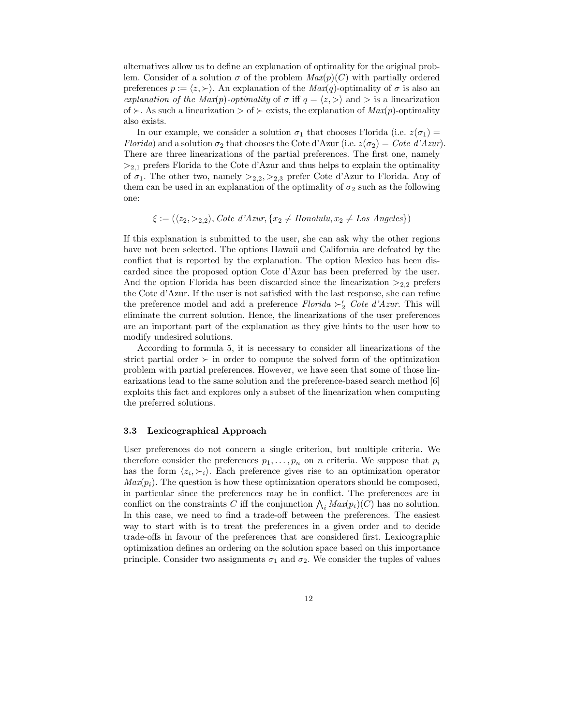alternatives allow us to define an explanation of optimality for the original problem. Consider of a solution  $\sigma$  of the problem  $Max(p)(C)$  with partially ordered preferences  $p := \langle z, \rangle$ . An explanation of the  $Max(q)$ -optimality of  $\sigma$  is also an explanation of the Max(p)-optimality of  $\sigma$  iff  $q = \langle z, \rangle$  and  $\sigma$  is a linearization of  $\succ$ . As such a linearization  $>$  of  $\succ$  exists, the explanation of  $Max(p)$ -optimality also exists.

In our example, we consider a solution  $\sigma_1$  that chooses Florida (i.e.  $z(\sigma_1)$ ) Florida) and a solution  $\sigma_2$  that chooses the Cote d'Azur (i.e.  $z(\sigma_2) = Cote\ d'Azur$ ). There are three linearizations of the partial preferences. The first one, namely  $>_{2,1}$  prefers Florida to the Cote d'Azur and thus helps to explain the optimality of  $\sigma_1$ . The other two, namely  $>_{2,2},>_{2,3}$  prefer Cote d'Azur to Florida. Any of them can be used in an explanation of the optimality of  $\sigma_2$  such as the following one:

 $\xi := (\langle z_2, \rangle_{2,2}),$  Cote d'Azur,  $\{x_2 \neq \text{Hon} \space \text{ol} \space \text{ul}, \space x_2 \neq \text{Los} \space \text{Angles}\})$ 

If this explanation is submitted to the user, she can ask why the other regions have not been selected. The options Hawaii and California are defeated by the conflict that is reported by the explanation. The option Mexico has been discarded since the proposed option Cote d'Azur has been preferred by the user. And the option Florida has been discarded since the linearization  $>_{2,2}$  prefers the Cote d'Azur. If the user is not satisfied with the last response, she can refine the preference model and add a preference  $Florida \succ'_{2}$  Cote d'Azur. This will eliminate the current solution. Hence, the linearizations of the user preferences are an important part of the explanation as they give hints to the user how to modify undesired solutions.

According to formula 5, it is necessary to consider all linearizations of the strict partial order  $\succ$  in order to compute the solved form of the optimization problem with partial preferences. However, we have seen that some of those linearizations lead to the same solution and the preference-based search method [6] exploits this fact and explores only a subset of the linearization when computing the preferred solutions.

## 3.3 Lexicographical Approach

User preferences do not concern a single criterion, but multiple criteria. We therefore consider the preferences  $p_1, \ldots, p_n$  on n criteria. We suppose that  $p_i$ has the form  $\langle z_i, \rangle$ . Each preference gives rise to an optimization operator  $Max(p_i)$ . The question is how these optimization operators should be composed, in particular since the preferences may be in conflict. The preferences are in conflict on the constraints C iff the conjunction  $\bigwedge_i Max(p_i)(C)$  has no solution. In this case, we need to find a trade-off between the preferences. The easiest way to start with is to treat the preferences in a given order and to decide trade-offs in favour of the preferences that are considered first. Lexicographic optimization defines an ordering on the solution space based on this importance principle. Consider two assignments  $\sigma_1$  and  $\sigma_2$ . We consider the tuples of values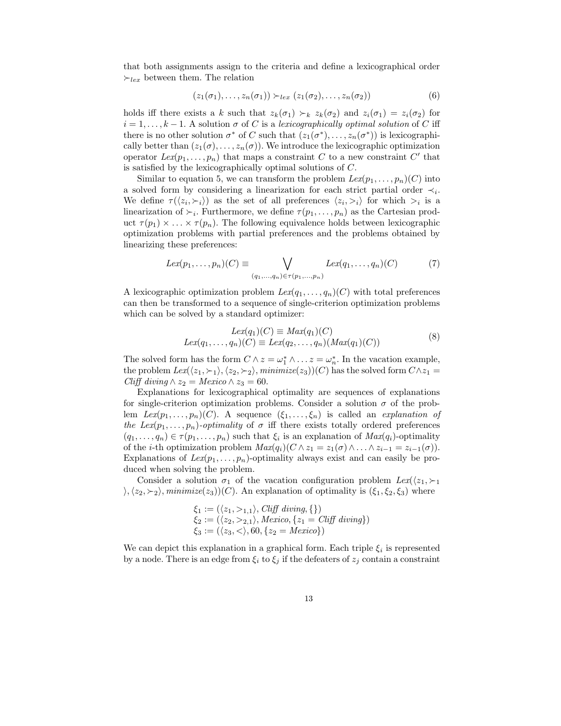that both assignments assign to the criteria and define a lexicographical order  $\succ_{lex}$  between them. The relation

$$
(z_1(\sigma_1), \ldots, z_n(\sigma_1)) \succ_{lex} (z_1(\sigma_2), \ldots, z_n(\sigma_2))
$$
\n
$$
(6)
$$

holds iff there exists a k such that  $z_k(\sigma_1) \succ_k z_k(\sigma_2)$  and  $z_i(\sigma_1) = z_i(\sigma_2)$  for  $i = 1, \ldots, k-1$ . A solution  $\sigma$  of C is a lexicographically optimal solution of C iff there is no other solution  $\sigma^*$  of C such that  $(z_1(\sigma^*), \ldots, z_n(\sigma^*))$  is lexicographically better than  $(z_1(\sigma), \ldots, z_n(\sigma))$ . We introduce the lexicographic optimization operator  $Lex(p_1, ..., p_n)$  that maps a constraint C to a new constraint C' that is satisfied by the lexicographically optimal solutions of C.

Similar to equation 5, we can transform the problem  $Lex(p_1, \ldots, p_n)(C)$  into a solved form by considering a linearization for each strict partial order  $\prec_i$ . We define  $\tau(\langle z_i, \succ_i \rangle)$  as the set of all preferences  $\langle z_i, \gt_i \rangle$  for which  $\gt_i$  is a linearization of  $\succ_i$ . Furthermore, we define  $\tau(p_1, \ldots, p_n)$  as the Cartesian product  $\tau(p_1) \times \ldots \times \tau(p_n)$ . The following equivalence holds between lexicographic optimization problems with partial preferences and the problems obtained by linearizing these preferences:

$$
Lex(p_1, ..., p_n)(C) \equiv \bigvee_{(q_1, ..., q_n) \in \tau(p_1, ..., p_n)} Lex(q_1, ..., q_n)(C)
$$
 (7)

A lexicographic optimization problem  $Lex(q_1, ..., q_n)(C)$  with total preferences can then be transformed to a sequence of single-criterion optimization problems which can be solved by a standard optimizer:

$$
Lex(q1)(C) \equiv Max(q1)(C)
$$
  
\n
$$
Lex(q1,..., qn)(C) \equiv Lex(q2,..., qn)(Max(q1)(C))
$$
\n(8)

The solved form has the form  $C \wedge z = \omega_1^* \wedge \ldots z = \omega_n^*$ . In the vacation example, the problem  $Lex(\langle z_1, \succ_1 \rangle, \langle z_2, \succ_2 \rangle, minimize(z_3))(C)$  has the solved form  $C \wedge z_1 =$ Cliff diving  $\wedge z_2 = Mexico \wedge z_3 = 60$ .

Explanations for lexicographical optimality are sequences of explanations for single-criterion optimization problems. Consider a solution  $\sigma$  of the problem  $Lex(p_1, ..., p_n)(C)$ . A sequence  $(\xi_1, ..., \xi_n)$  is called an *explanation of* the Lex( $p_1, \ldots, p_n$ )-optimality of  $\sigma$  iff there exists totally ordered preferences  $(q_1, \ldots, q_n) \in \tau(p_1, \ldots, p_n)$  such that  $\xi_i$  is an explanation of  $Max(q_i)$ -optimality of the *i*-th optimization problem  $Max(q_i)(C \wedge z_1 = z_1(\sigma) \wedge ... \wedge z_{i-1} = z_{i-1}(\sigma)).$ Explanations of  $Lex(p_1, ..., p_n)$ -optimality always exist and can easily be produced when solving the problem.

Consider a solution  $\sigma_1$  of the vacation configuration problem  $Lex(\langle z_1, \succ_1$  $\langle\phi_1,z_2\rangle$ , minimize(z<sub>3</sub>))(C). An explanation of optimality is ( $\xi_1,\xi_2,\xi_3$ ) where

$$
\xi_1 := (\langle z_1, >_{1,1} \rangle, \text{Cliff living}, \{\} \}
$$
  

$$
\xi_2 := (\langle z_2, >_{2,1} \rangle, \text{ Mexico}, \{z_1 = \text{Cliff dividing}\} \}
$$
  

$$
\xi_3 := (\langle z_3, < \rangle, 60, \{z_2 = \text{ Mexico}\} \}
$$

We can depict this explanation in a graphical form. Each triple  $\xi_i$  is represented by a node. There is an edge from  $\xi_i$  to  $\xi_j$  if the defeaters of  $z_j$  contain a constraint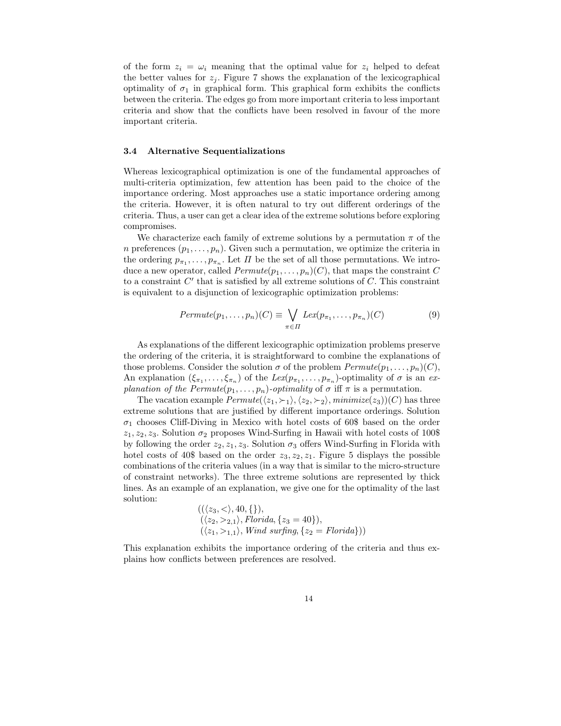of the form  $z_i = \omega_i$  meaning that the optimal value for  $z_i$  helped to defeat the better values for  $z_j$ . Figure 7 shows the explanation of the lexicographical optimality of  $\sigma_1$  in graphical form. This graphical form exhibits the conflicts between the criteria. The edges go from more important criteria to less important criteria and show that the conflicts have been resolved in favour of the more important criteria.

# 3.4 Alternative Sequentializations

Whereas lexicographical optimization is one of the fundamental approaches of multi-criteria optimization, few attention has been paid to the choice of the importance ordering. Most approaches use a static importance ordering among the criteria. However, it is often natural to try out different orderings of the criteria. Thus, a user can get a clear idea of the extreme solutions before exploring compromises.

We characterize each family of extreme solutions by a permutation  $\pi$  of the n preferences  $(p_1, \ldots, p_n)$ . Given such a permutation, we optimize the criteria in the ordering  $p_{\pi_1}, \ldots, p_{\pi_n}$ . Let  $\Pi$  be the set of all those permutations. We introduce a new operator, called  $Permute(p_1, \ldots, p_n)(C)$ , that maps the constraint C to a constraint  $C'$  that is satisfied by all extreme solutions of  $C$ . This constraint is equivalent to a disjunction of lexicographic optimization problems:

$$
Permute(p_1,\ldots,p_n)(C) \equiv \bigvee_{\pi \in \Pi} Lex(p_{\pi_1},\ldots,p_{\pi_n})(C) \tag{9}
$$

As explanations of the different lexicographic optimization problems preserve the ordering of the criteria, it is straightforward to combine the explanations of those problems. Consider the solution  $\sigma$  of the problem  $Permute(p_1, \ldots, p_n)(C)$ , An explanation  $(\xi_{\pi_1},\ldots,\xi_{\pi_n})$  of the  $Lex(p_{\pi_1},\ldots,p_{\pi_n})$ -optimality of  $\sigma$  is an  $ex$ planation of the  $Permute(p_1, \ldots, p_n)$ -optimality of  $\sigma$  iff  $\pi$  is a permutation.

The vacation example  $Permute(\langle z_1, \succ_1 \rangle, \langle z_2, \succ_2 \rangle, \text{minimize}(z_3)\rangle(C)$  has three extreme solutions that are justified by different importance orderings. Solution  $\sigma_1$  chooses Cliff-Diving in Mexico with hotel costs of 60\$ based on the order  $z_1, z_2, z_3$ . Solution  $\sigma_2$  proposes Wind-Surfing in Hawaii with hotel costs of 100\$ by following the order  $z_2, z_1, z_3$ . Solution  $\sigma_3$  offers Wind-Surfing in Florida with hotel costs of 40\$ based on the order  $z_3, z_2, z_1$ . Figure 5 displays the possible combinations of the criteria values (in a way that is similar to the micro-structure of constraint networks). The three extreme solutions are represented by thick lines. As an example of an explanation, we give one for the optimality of the last solution:

$$
((\langle z_3, \langle \rangle, 40, \{\},\langle z_3 = 40\},\langle z_2, \rangle), Florida, \{z_3 = 40\}),(\langle z_1, \rangle, Nind surfing, \{z_2 = Florida\}) )
$$

This explanation exhibits the importance ordering of the criteria and thus explains how conflicts between preferences are resolved.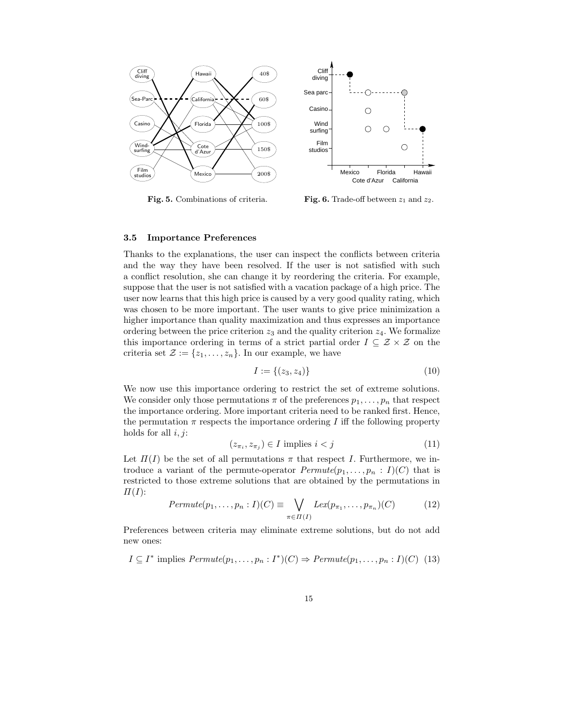

Fig. 5. Combinations of criteria.

Fig. 6. Trade-off between  $z_1$  and  $z_2$ .

## 3.5 Importance Preferences

Thanks to the explanations, the user can inspect the conflicts between criteria and the way they have been resolved. If the user is not satisfied with such a conflict resolution, she can change it by reordering the criteria. For example, suppose that the user is not satisfied with a vacation package of a high price. The user now learns that this high price is caused by a very good quality rating, which was chosen to be more important. The user wants to give price minimization a higher importance than quality maximization and thus expresses an importance ordering between the price criterion  $z_3$  and the quality criterion  $z_4$ . We formalize this importance ordering in terms of a strict partial order  $I \subseteq \mathcal{Z} \times \mathcal{Z}$  on the criteria set  $\mathcal{Z} := \{z_1, \ldots, z_n\}$ . In our example, we have

$$
I := \{(z_3, z_4)\}\tag{10}
$$

We now use this importance ordering to restrict the set of extreme solutions. We consider only those permutations  $\pi$  of the preferences  $p_1, \ldots, p_n$  that respect the importance ordering. More important criteria need to be ranked first. Hence, the permutation  $\pi$  respects the importance ordering I iff the following property holds for all  $i, j$ :

$$
(z_{\pi_i}, z_{\pi_j}) \in I \text{ implies } i < j \tag{11}
$$

Let  $\Pi(I)$  be the set of all permutations  $\pi$  that respect I. Furthermore, we introduce a variant of the permute-operator  $Permute(p_1, \ldots, p_n : I)(C)$  that is restricted to those extreme solutions that are obtained by the permutations in  $\Pi(I)$ :

$$
Permute(p_1,\ldots,p_n: I)(C) \equiv \bigvee_{\pi \in \Pi(I)} Lex(p_{\pi_1},\ldots,p_{\pi_n})(C) \tag{12}
$$

Preferences between criteria may eliminate extreme solutions, but do not add new ones:

$$
I \subseteq I^* \text{ implies } Permute(p_1, \ldots, p_n : I^*)(C) \Rightarrow Permute(p_1, \ldots, p_n : I)(C) \tag{13}
$$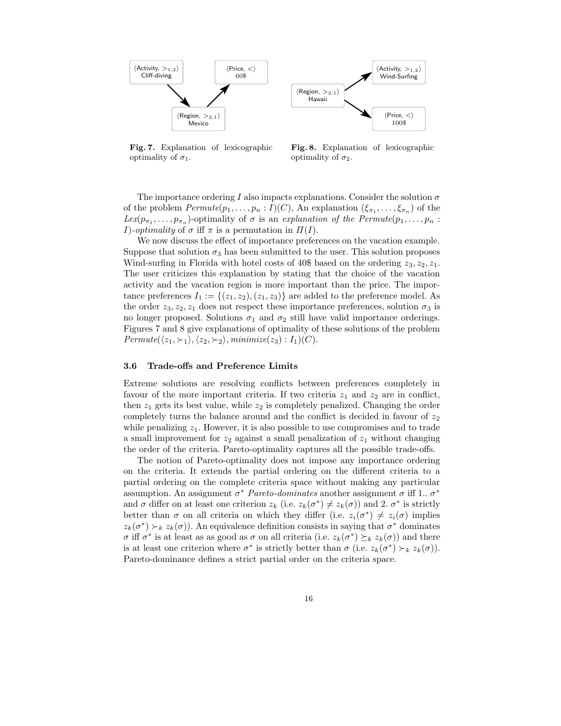



Fig. 7. Explanation of lexicographic optimality of  $\sigma_1$ .

Fig. 8. Explanation of lexicographic optimality of  $\sigma_2$ .

The importance ordering I also impacts explanations. Consider the solution  $\sigma$ of the problem  $Permute(p_1, \ldots, p_n: I)(C)$ , An explanation  $(\xi_{\pi_1}, \ldots, \xi_{\pi_n})$  of the  $Lex(p_{\pi_1}, \ldots, p_{\pi_n})$ -optimality of  $\sigma$  is an explanation of the Permute $(p_1, \ldots, p_n)$ : I)-optimality of  $\sigma$  iff  $\pi$  is a permutation in  $\Pi(I)$ .

We now discuss the effect of importance preferences on the vacation example. Suppose that solution  $\sigma_3$  has been submitted to the user. This solution proposes Wind-surfing in Florida with hotel costs of 40\$ based on the ordering  $z_3, z_2, z_1$ . The user criticizes this explanation by stating that the choice of the vacation activity and the vacation region is more important than the price. The importance preferences  $I_1 := \{(z_1, z_2), (z_1, z_3)\}\$ are added to the preference model. As the order  $z_3, z_2, z_1$  does not respect these importance preferences, solution  $\sigma_3$  is no longer proposed. Solutions  $\sigma_1$  and  $\sigma_2$  still have valid importance orderings. Figures 7 and 8 give explanations of optimality of these solutions of the problem  $Permute(\langle z_1, \succ_1 \rangle, \langle z_2, \succ_2 \rangle, \text{minimize}(z_3) : I_1(C).$ 

# 3.6 Trade-offs and Preference Limits

Extreme solutions are resolving conflicts between preferences completely in favour of the more important criteria. If two criteria  $z_1$  and  $z_2$  are in conflict, then  $z_1$  gets its best value, while  $z_2$  is completely penalized. Changing the order completely turns the balance around and the conflict is decided in favour of  $z_2$ while penalizing  $z_1$ . However, it is also possible to use compromises and to trade a small improvement for  $z_2$  against a small penalization of  $z_1$  without changing the order of the criteria. Pareto-optimality captures all the possible trade-offs.

The notion of Pareto-optimality does not impose any importance ordering on the criteria. It extends the partial ordering on the different criteria to a partial ordering on the complete criteria space without making any particular assumption. An assignment  $\sigma^*$  Pareto-dominates another assignment  $\sigma$  iff 1..  $\sigma^*$ and  $\sigma$  differ on at least one criterion  $z_k$  (i.e.  $z_k(\sigma^*) \neq z_k(\sigma)$ ) and 2.  $\sigma^*$  is strictly better than  $\sigma$  on all criteria on which they differ (i.e.  $z_i(\sigma^*) \neq z_i(\sigma)$  implies  $z_k(\sigma^*) \succ_k z_k(\sigma)$ . An equivalence definition consists in saying that  $\sigma^*$  dominates σ iff σ<sup>\*</sup> is at least as as good as σ on all criteria (i.e.  $z_k(\sigma^*) \succeq_k z_k(\sigma)$ ) and there is at least one criterion where  $\sigma^*$  is strictly better than  $\sigma$  (i.e.  $z_k(\sigma^*) \succ_k z_k(\sigma)$ ). Pareto-dominance defines a strict partial order on the criteria space.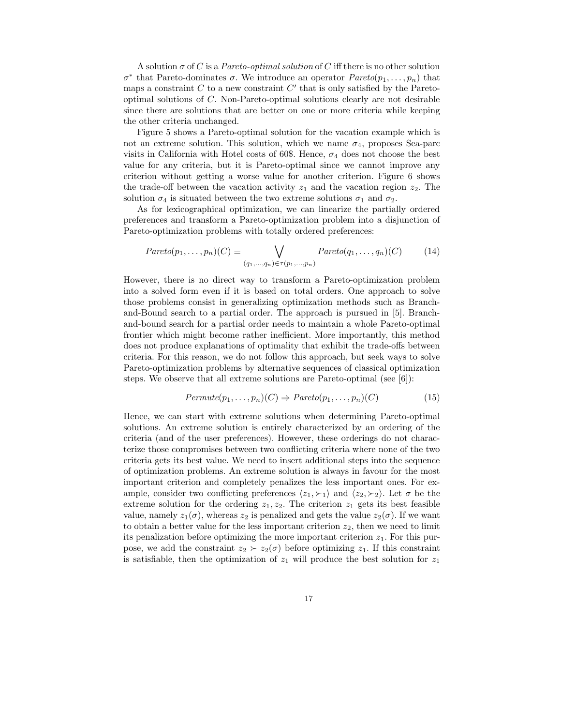A solution  $\sigma$  of C is a *Pareto-optimal solution* of C iff there is no other solution  $σ^*$  that Pareto-dominates  $σ$ . We introduce an operator  $Pareto(p_1, \ldots, p_n)$  that maps a constraint  $C$  to a new constraint  $C'$  that is only satisfied by the Paretooptimal solutions of C. Non-Pareto-optimal solutions clearly are not desirable since there are solutions that are better on one or more criteria while keeping the other criteria unchanged.

Figure 5 shows a Pareto-optimal solution for the vacation example which is not an extreme solution. This solution, which we name  $\sigma_4$ , proposes Sea-parc visits in California with Hotel costs of 60\$. Hence,  $\sigma_4$  does not choose the best value for any criteria, but it is Pareto-optimal since we cannot improve any criterion without getting a worse value for another criterion. Figure 6 shows the trade-off between the vacation activity  $z_1$  and the vacation region  $z_2$ . The solution  $\sigma_4$  is situated between the two extreme solutions  $\sigma_1$  and  $\sigma_2$ .

As for lexicographical optimization, we can linearize the partially ordered preferences and transform a Pareto-optimization problem into a disjunction of Pareto-optimization problems with totally ordered preferences:

$$
Pareto(p_1,\ldots,p_n)(C) \equiv \bigvee_{(q_1,\ldots,q_n)\in\tau(p_1,\ldots,p_n)} Pareto(q_1,\ldots,q_n)(C) \tag{14}
$$

However, there is no direct way to transform a Pareto-optimization problem into a solved form even if it is based on total orders. One approach to solve those problems consist in generalizing optimization methods such as Branchand-Bound search to a partial order. The approach is pursued in [5]. Branchand-bound search for a partial order needs to maintain a whole Pareto-optimal frontier which might become rather inefficient. More importantly, this method does not produce explanations of optimality that exhibit the trade-offs between criteria. For this reason, we do not follow this approach, but seek ways to solve Pareto-optimization problems by alternative sequences of classical optimization steps. We observe that all extreme solutions are Pareto-optimal (see [6]):

$$
Permute(p_1, \ldots, p_n)(C) \Rightarrow Pareto(p_1, \ldots, p_n)(C) \tag{15}
$$

Hence, we can start with extreme solutions when determining Pareto-optimal solutions. An extreme solution is entirely characterized by an ordering of the criteria (and of the user preferences). However, these orderings do not characterize those compromises between two conflicting criteria where none of the two criteria gets its best value. We need to insert additional steps into the sequence of optimization problems. An extreme solution is always in favour for the most important criterion and completely penalizes the less important ones. For example, consider two conflicting preferences  $\langle z_1, \succ_1 \rangle$  and  $\langle z_2, \succ_2 \rangle$ . Let  $\sigma$  be the extreme solution for the ordering  $z_1, z_2$ . The criterion  $z_1$  gets its best feasible value, namely  $z_1(\sigma)$ , whereas  $z_2$  is penalized and gets the value  $z_2(\sigma)$ . If we want to obtain a better value for the less important criterion  $z_2$ , then we need to limit its penalization before optimizing the more important criterion  $z<sub>1</sub>$ . For this purpose, we add the constraint  $z_2 \succ z_2(\sigma)$  before optimizing  $z_1$ . If this constraint is satisfiable, then the optimization of  $z_1$  will produce the best solution for  $z_1$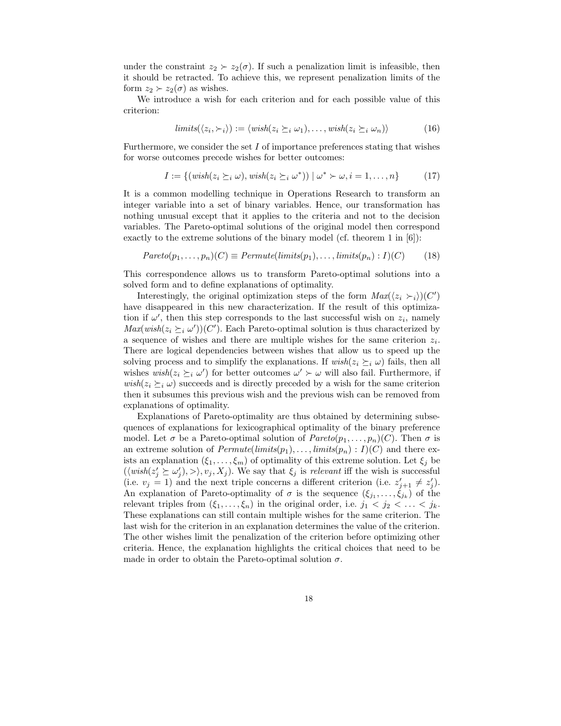under the constraint  $z_2 \succ z_2(\sigma)$ . If such a penalization limit is infeasible, then it should be retracted. To achieve this, we represent penalization limits of the form  $z_2 \succ z_2(\sigma)$  as wishes.

We introduce a wish for each criterion and for each possible value of this criterion:

$$
limits(\langle z_i, \succ_i \rangle) := \langle wish(z_i \succeq_i \omega_1), \dots, wish(z_i \succeq_i \omega_n) \rangle \tag{16}
$$

Furthermore, we consider the set  $I$  of importance preferences stating that wishes for worse outcomes precede wishes for better outcomes:

$$
I := \{(\text{wish}(z_i \succeq_i \omega), \text{wish}(z_i \succeq_i \omega^*)) \mid \omega^* \succ \omega, i = 1, \dots, n\}
$$
(17)

It is a common modelling technique in Operations Research to transform an integer variable into a set of binary variables. Hence, our transformation has nothing unusual except that it applies to the criteria and not to the decision variables. The Pareto-optimal solutions of the original model then correspond exactly to the extreme solutions of the binary model (cf. theorem 1 in [6]):

$$
Pareto(p_1, \ldots, p_n)(C) \equiv Permute(limits(p_1), \ldots, limits(p_n) : I)(C) \qquad (18)
$$

This correspondence allows us to transform Pareto-optimal solutions into a solved form and to define explanations of optimality.

Interestingly, the original optimization steps of the form  $Max(\langle z_i \rangle_i)(C')$ have disappeared in this new characterization. If the result of this optimization if  $\omega'$ , then this step corresponds to the last successful wish on  $z_i$ , namely  $Max(wish(z_i \succeq_i \omega'))(C')$ . Each Pareto-optimal solution is thus characterized by a sequence of wishes and there are multiple wishes for the same criterion  $z_i$ . There are logical dependencies between wishes that allow us to speed up the solving process and to simplify the explanations. If  $\text{wish}(z_i \succeq_i \omega)$  fails, then all wishes  $\text{wish}(z_i \succeq_i \omega')$  for better outcomes  $\omega' \succ \omega$  will also fail. Furthermore, if  $wish(z_i \succeq_i \omega)$  succeeds and is directly preceded by a wish for the same criterion then it subsumes this previous wish and the previous wish can be removed from explanations of optimality.

Explanations of Pareto-optimality are thus obtained by determining subsequences of explanations for lexicographical optimality of the binary preference model. Let  $\sigma$  be a Pareto-optimal solution of  $Pareto(p_1, \ldots, p_n)(C)$ . Then  $\sigma$  is an extreme solution of  $Permutel limits(p_1), \ldots, limits(p_n) : I)(C)$  and there exists an explanation  $(\xi_1, \ldots, \xi_m)$  of optimality of this extreme solution. Let  $\xi_j$  be  $(\langle wish(z_j' \succeq \omega_j'), \rangle, v_j, X_j)$ . We say that  $\xi_j$  is relevant iff the wish is successful (i.e.  $v_j = 1$ ) and the next triple concerns a different criterion (i.e.  $z'_{j+1} \neq z'_j$ ). An explanation of Pareto-optimality of  $\sigma$  is the sequence  $(\xi_{j_1}, \ldots, \xi_{j_k})$  of the relevant triples from  $(\xi_1, \ldots, \xi_n)$  in the original order, i.e.  $j_1 < j_2 < \ldots < j_k$ . These explanations can still contain multiple wishes for the same criterion. The last wish for the criterion in an explanation determines the value of the criterion. The other wishes limit the penalization of the criterion before optimizing other criteria. Hence, the explanation highlights the critical choices that need to be made in order to obtain the Pareto-optimal solution  $\sigma$ .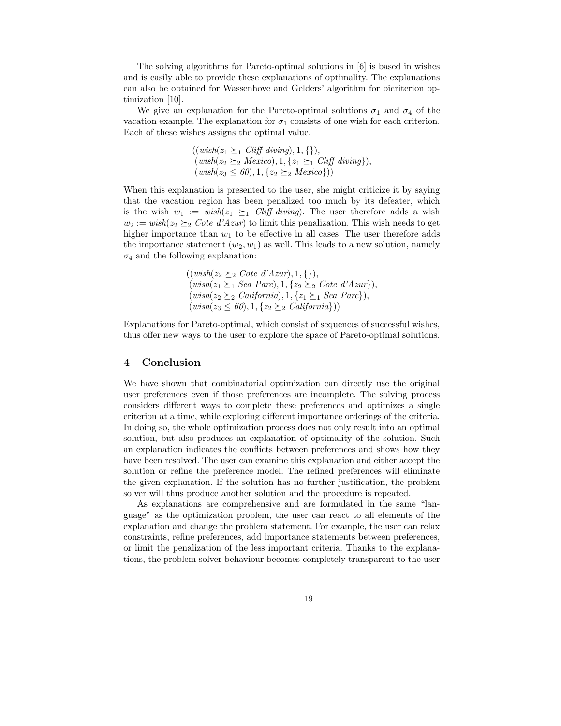The solving algorithms for Pareto-optimal solutions in [6] is based in wishes and is easily able to provide these explanations of optimality. The explanations can also be obtained for Wassenhove and Gelders' algorithm for bicriterion optimization [10].

We give an explanation for the Pareto-optimal solutions  $\sigma_1$  and  $\sigma_4$  of the vacation example. The explanation for  $\sigma_1$  consists of one wish for each criterion. Each of these wishes assigns the optimal value.

$$
((wish(z_1 \succeq_1 Clift \;diving), 1, \{\}),(wish(z_2 \succeq_2 Mexico), 1, \{z_1 \succeq_1 Clift \;diving\}),(wish(z_3 \le 60), 1, \{z_2 \succeq_2 Mexico\}))
$$

When this explanation is presented to the user, she might criticize it by saying that the vacation region has been penalized too much by its defeater, which is the wish  $w_1 := wish(z_1 \succeq_1 Cliffdiving)$ . The user therefore adds a wish  $w_2 := wish(z_2 \succeq_2 Cote\ d'Azur)$  to limit this penalization. This wish needs to get higher importance than  $w_1$  to be effective in all cases. The user therefore adds the importance statement  $(w_2, w_1)$  as well. This leads to a new solution, namely  $\sigma_4$  and the following explanation:

$$
((wish(z_2 \succeq_2 Cote d'Azur), 1, \{\}),
$$
  
\n
$$
(wish(z_1 \succeq_1 Sea Parc), 1, \{z_2 \succeq_2 Cote d'Azur\}),
$$
  
\n
$$
(wish(z_2 \succeq_2 California), 1, \{z_1 \succeq_1 Sea Parc\}),
$$
  
\n
$$
(wish(z_3 \le 60), 1, \{z_2 \succeq_2 California\}))
$$

Explanations for Pareto-optimal, which consist of sequences of successful wishes, thus offer new ways to the user to explore the space of Pareto-optimal solutions.

# 4 Conclusion

We have shown that combinatorial optimization can directly use the original user preferences even if those preferences are incomplete. The solving process considers different ways to complete these preferences and optimizes a single criterion at a time, while exploring different importance orderings of the criteria. In doing so, the whole optimization process does not only result into an optimal solution, but also produces an explanation of optimality of the solution. Such an explanation indicates the conflicts between preferences and shows how they have been resolved. The user can examine this explanation and either accept the solution or refine the preference model. The refined preferences will eliminate the given explanation. If the solution has no further justification, the problem solver will thus produce another solution and the procedure is repeated.

As explanations are comprehensive and are formulated in the same "language" as the optimization problem, the user can react to all elements of the explanation and change the problem statement. For example, the user can relax constraints, refine preferences, add importance statements between preferences, or limit the penalization of the less important criteria. Thanks to the explanations, the problem solver behaviour becomes completely transparent to the user